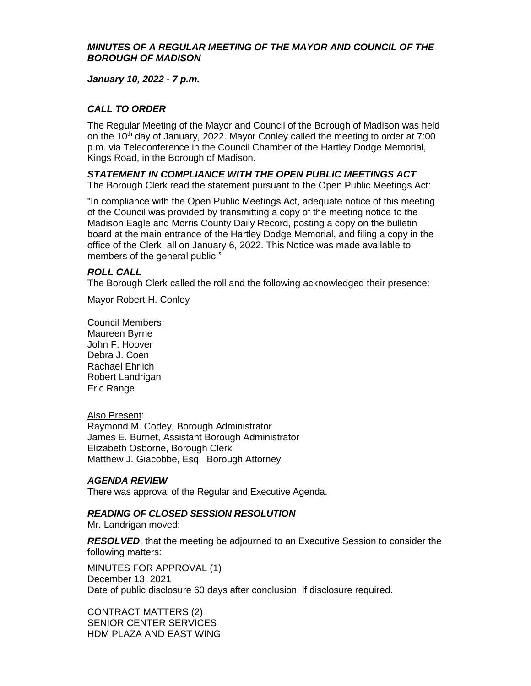### *MINUTES OF A REGULAR MEETING OF THE MAYOR AND COUNCIL OF THE BOROUGH OF MADISON*

*January 10, 2022 - 7 p.m.*

# *CALL TO ORDER*

The Regular Meeting of the Mayor and Council of the Borough of Madison was held on the 10<sup>th</sup> day of January, 2022. Mayor Conley called the meeting to order at 7:00 p.m. via Teleconference in the Council Chamber of the Hartley Dodge Memorial, Kings Road, in the Borough of Madison.

*STATEMENT IN COMPLIANCE WITH THE OPEN PUBLIC MEETINGS ACT* The Borough Clerk read the statement pursuant to the Open Public Meetings Act:

"In compliance with the Open Public Meetings Act, adequate notice of this meeting of the Council was provided by transmitting a copy of the meeting notice to the Madison Eagle and Morris County Daily Record, posting a copy on the bulletin board at the main entrance of the Hartley Dodge Memorial, and filing a copy in the office of the Clerk, all on January 6, 2022. This Notice was made available to members of the general public."

### *ROLL CALL*

The Borough Clerk called the roll and the following acknowledged their presence:

Mayor Robert H. Conley

Council Members: Maureen Byrne John F. Hoover Debra J. Coen Rachael Ehrlich Robert Landrigan Eric Range

#### Also Present:

Raymond M. Codey, Borough Administrator James E. Burnet, Assistant Borough Administrator Elizabeth Osborne, Borough Clerk Matthew J. Giacobbe, Esq. Borough Attorney

#### *AGENDA REVIEW*

There was approval of the Regular and Executive Agenda.

## *READING OF CLOSED SESSION RESOLUTION*

Mr. Landrigan moved:

*RESOLVED*, that the meeting be adjourned to an Executive Session to consider the following matters:

MINUTES FOR APPROVAL (1) December 13, 2021 Date of public disclosure 60 days after conclusion, if disclosure required.

CONTRACT MATTERS (2) SENIOR CENTER SERVICES HDM PLAZA AND EAST WING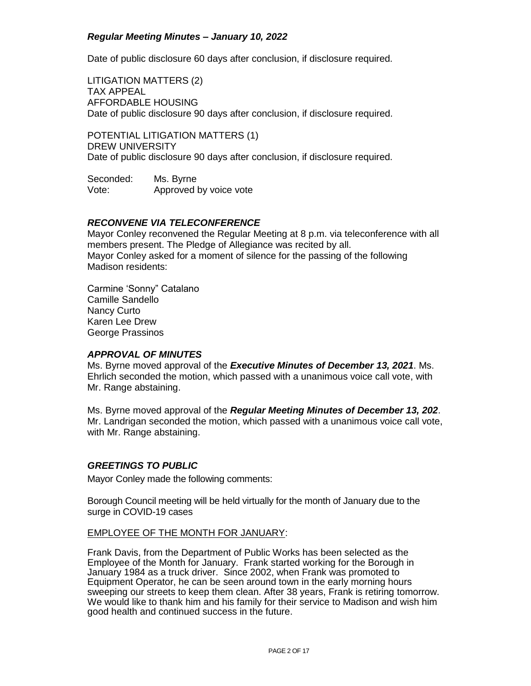Date of public disclosure 60 days after conclusion, if disclosure required.

LITIGATION MATTERS (2) TAX APPEAL AFFORDABLE HOUSING Date of public disclosure 90 days after conclusion, if disclosure required.

POTENTIAL LITIGATION MATTERS (1) DREW UNIVERSITY Date of public disclosure 90 days after conclusion, if disclosure required.

Seconded: Ms. Byrne Vote: Approved by voice vote

#### *RECONVENE VIA TELECONFERENCE*

Mayor Conley reconvened the Regular Meeting at 8 p.m. via teleconference with all members present. The Pledge of Allegiance was recited by all. Mayor Conley asked for a moment of silence for the passing of the following Madison residents:

Carmine 'Sonny" Catalano Camille Sandello Nancy Curto Karen Lee Drew George Prassinos

#### *APPROVAL OF MINUTES*

Ms. Byrne moved approval of the *Executive Minutes of December 13, 2021*. Ms. Ehrlich seconded the motion, which passed with a unanimous voice call vote, with Mr. Range abstaining.

Ms. Byrne moved approval of the *Regular Meeting Minutes of December 13, 202*. Mr. Landrigan seconded the motion, which passed with a unanimous voice call vote, with Mr. Range abstaining.

#### *GREETINGS TO PUBLIC*

Mayor Conley made the following comments:

Borough Council meeting will be held virtually for the month of January due to the surge in COVID-19 cases

#### EMPLOYEE OF THE MONTH FOR JANUARY:

Frank Davis, from the Department of Public Works has been selected as the Employee of the Month for January. Frank started working for the Borough in January 1984 as a truck driver. Since 2002, when Frank was promoted to Equipment Operator, he can be seen around town in the early morning hours sweeping our streets to keep them clean. After 38 years, Frank is retiring tomorrow. We would like to thank him and his family for their service to Madison and wish him good health and continued success in the future.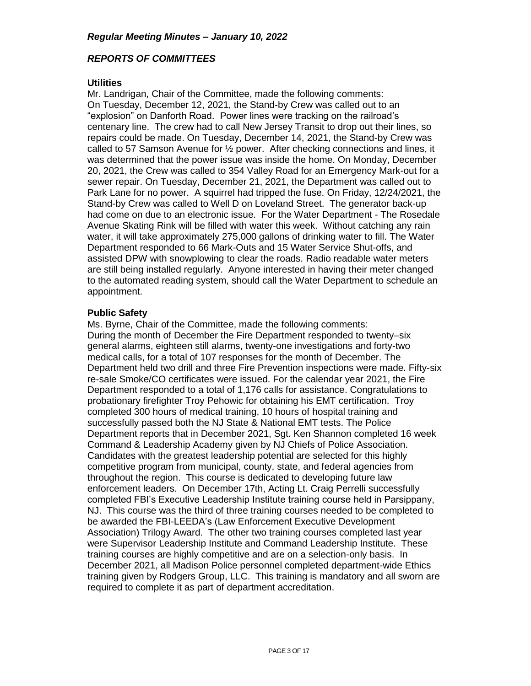### *REPORTS OF COMMITTEES*

#### **Utilities**

Mr. Landrigan, Chair of the Committee, made the following comments: On Tuesday, December 12, 2021, the Stand-by Crew was called out to an "explosion" on Danforth Road. Power lines were tracking on the railroad's centenary line. The crew had to call New Jersey Transit to drop out their lines, so repairs could be made. On Tuesday, December 14, 2021, the Stand-by Crew was called to 57 Samson Avenue for ½ power. After checking connections and lines, it was determined that the power issue was inside the home. On Monday, December 20, 2021, the Crew was called to 354 Valley Road for an Emergency Mark-out for a sewer repair. On Tuesday, December 21, 2021, the Department was called out to Park Lane for no power. A squirrel had tripped the fuse. On Friday, 12/24/2021, the Stand-by Crew was called to Well D on Loveland Street. The generator back-up had come on due to an electronic issue. For the Water Department - The Rosedale Avenue Skating Rink will be filled with water this week. Without catching any rain water, it will take approximately 275,000 gallons of drinking water to fill. The Water Department responded to 66 Mark-Outs and 15 Water Service Shut-offs, and assisted DPW with snowplowing to clear the roads. Radio readable water meters are still being installed regularly. Anyone interested in having their meter changed to the automated reading system, should call the Water Department to schedule an appointment.

### **Public Safety**

Ms. Byrne, Chair of the Committee, made the following comments: During the month of December the Fire Department responded to twenty–six general alarms, eighteen still alarms, twenty-one investigations and forty-two medical calls, for a total of 107 responses for the month of December. The Department held two drill and three Fire Prevention inspections were made. Fifty-six re-sale Smoke/CO certificates were issued. For the calendar year 2021, the Fire Department responded to a total of 1,176 calls for assistance. Congratulations to probationary firefighter Troy Pehowic for obtaining his EMT certification. Troy completed 300 hours of medical training, 10 hours of hospital training and successfully passed both the NJ State & National EMT tests. The Police Department reports that in December 2021, Sgt. Ken Shannon completed 16 week Command & Leadership Academy given by NJ Chiefs of Police Association. Candidates with the greatest leadership potential are selected for this highly competitive program from municipal, county, state, and federal agencies from throughout the region. This course is dedicated to developing future law enforcement leaders. On December 17th, Acting Lt. Craig Perrelli successfully completed FBI's Executive Leadership Institute training course held in Parsippany, NJ. This course was the third of three training courses needed to be completed to be awarded the FBI-LEEDA's (Law Enforcement Executive Development Association) Trilogy Award. The other two training courses completed last year were Supervisor Leadership Institute and Command Leadership Institute. These training courses are highly competitive and are on a selection-only basis. In December 2021, all Madison Police personnel completed department-wide Ethics training given by Rodgers Group, LLC. This training is mandatory and all sworn are required to complete it as part of department accreditation.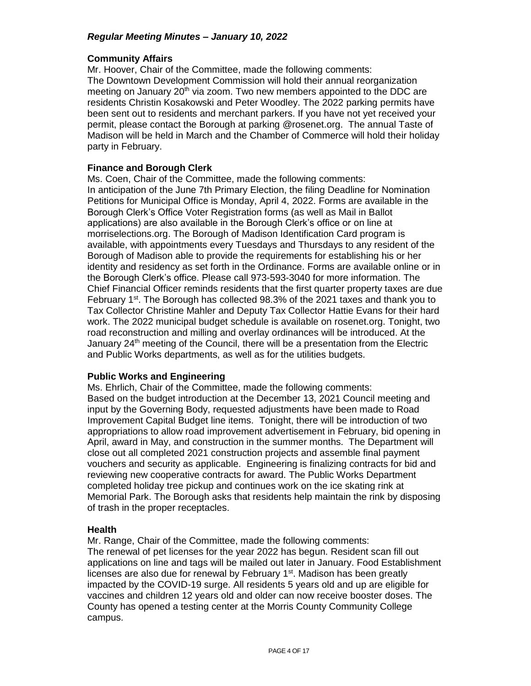#### **Community Affairs**

Mr. Hoover, Chair of the Committee, made the following comments: The Downtown Development Commission will hold their annual reorganization meeting on January 20<sup>th</sup> via zoom. Two new members appointed to the DDC are residents Christin Kosakowski and Peter Woodley. The 2022 parking permits have been sent out to residents and merchant parkers. If you have not yet received your permit, please contact the Borough at parking @rosenet.org. The annual Taste of Madison will be held in March and the Chamber of Commerce will hold their holiday party in February.

### **Finance and Borough Clerk**

Ms. Coen, Chair of the Committee, made the following comments: In anticipation of the June 7th Primary Election, the filing Deadline for Nomination Petitions for Municipal Office is Monday, April 4, 2022. Forms are available in the Borough Clerk's Office Voter Registration forms (as well as Mail in Ballot applications) are also available in the Borough Clerk's office or on line at morriselections.org. The Borough of Madison Identification Card program is available, with appointments every Tuesdays and Thursdays to any resident of the Borough of Madison able to provide the requirements for establishing his or her identity and residency as set forth in the Ordinance. Forms are available online or in the Borough Clerk's office. Please call 973-593-3040 for more information. The Chief Financial Officer reminds residents that the first quarter property taxes are due February 1<sup>st</sup>. The Borough has collected 98.3% of the 2021 taxes and thank you to Tax Collector Christine Mahler and Deputy Tax Collector Hattie Evans for their hard work. The 2022 municipal budget schedule is available on rosenet.org. Tonight, two road reconstruction and milling and overlay ordinances will be introduced. At the January  $24<sup>th</sup>$  meeting of the Council, there will be a presentation from the Electric and Public Works departments, as well as for the utilities budgets.

#### **Public Works and Engineering**

Ms. Ehrlich, Chair of the Committee, made the following comments: Based on the budget introduction at the December 13, 2021 Council meeting and input by the Governing Body, requested adjustments have been made to Road Improvement Capital Budget line items. Tonight, there will be introduction of two appropriations to allow road improvement advertisement in February, bid opening in April, award in May, and construction in the summer months. The Department will close out all completed 2021 construction projects and assemble final payment vouchers and security as applicable. Engineering is finalizing contracts for bid and reviewing new cooperative contracts for award. The Public Works Department completed holiday tree pickup and continues work on the ice skating rink at Memorial Park. The Borough asks that residents help maintain the rink by disposing of trash in the proper receptacles.

## **Health**

Mr. Range, Chair of the Committee, made the following comments: The renewal of pet licenses for the year 2022 has begun. Resident scan fill out applications on line and tags will be mailed out later in January. Food Establishment licenses are also due for renewal by February 1<sup>st</sup>. Madison has been greatly impacted by the COVID-19 surge. All residents 5 years old and up are eligible for vaccines and children 12 years old and older can now receive booster doses. The County has opened a testing center at the Morris County Community College campus.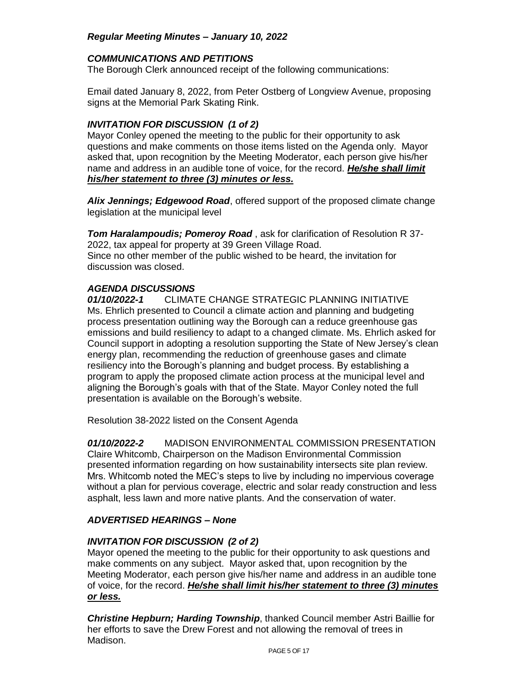## *COMMUNICATIONS AND PETITIONS*

The Borough Clerk announced receipt of the following communications:

Email dated January 8, 2022, from Peter Ostberg of Longview Avenue, proposing signs at the Memorial Park Skating Rink.

## *INVITATION FOR DISCUSSION (1 of 2)*

Mayor Conley opened the meeting to the public for their opportunity to ask questions and make comments on those items listed on the Agenda only. Mayor asked that, upon recognition by the Meeting Moderator, each person give his/her name and address in an audible tone of voice, for the record. *He/she shall limit his/her statement to three (3) minutes or less.*

*Alix Jennings; Edgewood Road*, offered support of the proposed climate change legislation at the municipal level

*Tom Haralampoudis; Pomeroy Road* , ask for clarification of Resolution R 37- 2022, tax appeal for property at 39 Green Village Road. Since no other member of the public wished to be heard, the invitation for discussion was closed.

### *AGENDA DISCUSSIONS*

*01/10/2022-1* CLIMATE CHANGE STRATEGIC PLANNING INITIATIVE Ms. Ehrlich presented to Council a climate action and planning and budgeting process presentation outlining way the Borough can a reduce greenhouse gas emissions and build resiliency to adapt to a changed climate. Ms. Ehrlich asked for Council support in adopting a resolution supporting the State of New Jersey's clean energy plan, recommending the reduction of greenhouse gases and climate resiliency into the Borough's planning and budget process. By establishing a program to apply the proposed climate action process at the municipal level and aligning the Borough's goals with that of the State. Mayor Conley noted the full presentation is available on the Borough's website.

Resolution 38-2022 listed on the Consent Agenda

*01/10/2022-2* MADISON ENVIRONMENTAL COMMISSION PRESENTATION Claire Whitcomb, Chairperson on the Madison Environmental Commission presented information regarding on how sustainability intersects site plan review. Mrs. Whitcomb noted the MEC's steps to live by including no impervious coverage without a plan for pervious coverage, electric and solar ready construction and less asphalt, less lawn and more native plants. And the conservation of water.

## *ADVERTISED HEARINGS – None*

## *INVITATION FOR DISCUSSION (2 of 2)*

Mayor opened the meeting to the public for their opportunity to ask questions and make comments on any subject. Mayor asked that, upon recognition by the Meeting Moderator, each person give his/her name and address in an audible tone of voice, for the record. *He/she shall limit his/her statement to three (3) minutes or less.*

*Christine Hepburn; Harding Township*, thanked Council member Astri Baillie for her efforts to save the Drew Forest and not allowing the removal of trees in Madison.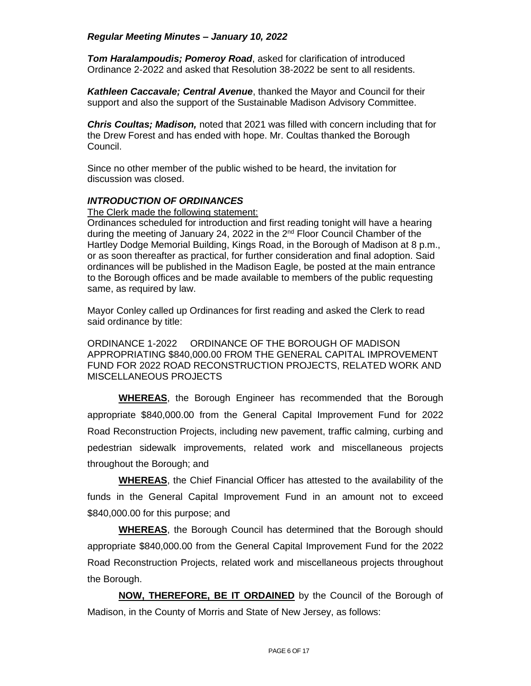*Tom Haralampoudis; Pomeroy Road*, asked for clarification of introduced Ordinance 2-2022 and asked that Resolution 38-2022 be sent to all residents.

*Kathleen Caccavale; Central Avenue*, thanked the Mayor and Council for their support and also the support of the Sustainable Madison Advisory Committee.

*Chris Coultas; Madison,* noted that 2021 was filled with concern including that for the Drew Forest and has ended with hope. Mr. Coultas thanked the Borough Council.

Since no other member of the public wished to be heard, the invitation for discussion was closed.

### *INTRODUCTION OF ORDINANCES*

The Clerk made the following statement:

Ordinances scheduled for introduction and first reading tonight will have a hearing during the meeting of January 24, 2022 in the  $2<sup>nd</sup>$  Floor Council Chamber of the Hartley Dodge Memorial Building, Kings Road, in the Borough of Madison at 8 p.m., or as soon thereafter as practical, for further consideration and final adoption. Said ordinances will be published in the Madison Eagle, be posted at the main entrance to the Borough offices and be made available to members of the public requesting same, as required by law.

Mayor Conley called up Ordinances for first reading and asked the Clerk to read said ordinance by title:

ORDINANCE 1-2022 ORDINANCE OF THE BOROUGH OF MADISON APPROPRIATING \$840,000.00 FROM THE GENERAL CAPITAL IMPROVEMENT FUND FOR 2022 ROAD RECONSTRUCTION PROJECTS, RELATED WORK AND MISCELLANEOUS PROJECTS

**WHEREAS**, the Borough Engineer has recommended that the Borough appropriate \$840,000.00 from the General Capital Improvement Fund for 2022 Road Reconstruction Projects, including new pavement, traffic calming, curbing and pedestrian sidewalk improvements, related work and miscellaneous projects throughout the Borough; and

**WHEREAS**, the Chief Financial Officer has attested to the availability of the funds in the General Capital Improvement Fund in an amount not to exceed \$840,000.00 for this purpose; and

**WHEREAS**, the Borough Council has determined that the Borough should appropriate \$840,000.00 from the General Capital Improvement Fund for the 2022 Road Reconstruction Projects, related work and miscellaneous projects throughout the Borough.

**NOW, THEREFORE, BE IT ORDAINED** by the Council of the Borough of Madison, in the County of Morris and State of New Jersey, as follows: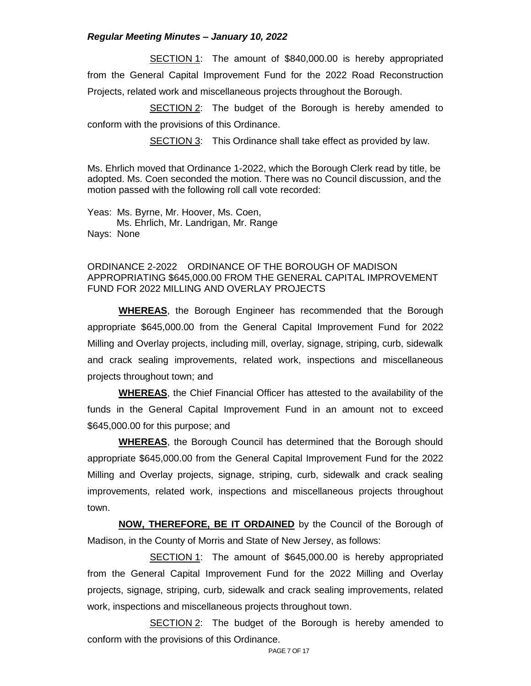SECTION 1: The amount of \$840,000.00 is hereby appropriated from the General Capital Improvement Fund for the 2022 Road Reconstruction Projects, related work and miscellaneous projects throughout the Borough.

**SECTION 2:** The budget of the Borough is hereby amended to conform with the provisions of this Ordinance.

SECTION 3: This Ordinance shall take effect as provided by law.

Ms. Ehrlich moved that Ordinance 1-2022, which the Borough Clerk read by title, be adopted. Ms. Coen seconded the motion. There was no Council discussion, and the motion passed with the following roll call vote recorded:

Yeas: Ms. Byrne, Mr. Hoover, Ms. Coen, Ms. Ehrlich, Mr. Landrigan, Mr. Range Nays: None

### ORDINANCE 2-2022 ORDINANCE OF THE BOROUGH OF MADISON APPROPRIATING \$645,000.00 FROM THE GENERAL CAPITAL IMPROVEMENT FUND FOR 2022 MILLING AND OVERLAY PROJECTS

**WHEREAS**, the Borough Engineer has recommended that the Borough appropriate \$645,000.00 from the General Capital Improvement Fund for 2022 Milling and Overlay projects, including mill, overlay, signage, striping, curb, sidewalk and crack sealing improvements, related work, inspections and miscellaneous projects throughout town; and

**WHEREAS**, the Chief Financial Officer has attested to the availability of the funds in the General Capital Improvement Fund in an amount not to exceed \$645,000.00 for this purpose; and

**WHEREAS**, the Borough Council has determined that the Borough should appropriate \$645,000.00 from the General Capital Improvement Fund for the 2022 Milling and Overlay projects, signage, striping, curb, sidewalk and crack sealing improvements, related work, inspections and miscellaneous projects throughout town.

**NOW, THEREFORE, BE IT ORDAINED** by the Council of the Borough of Madison, in the County of Morris and State of New Jersey, as follows:

SECTION 1: The amount of \$645,000.00 is hereby appropriated from the General Capital Improvement Fund for the 2022 Milling and Overlay projects, signage, striping, curb, sidewalk and crack sealing improvements, related work, inspections and miscellaneous projects throughout town.

**SECTION 2:** The budget of the Borough is hereby amended to conform with the provisions of this Ordinance.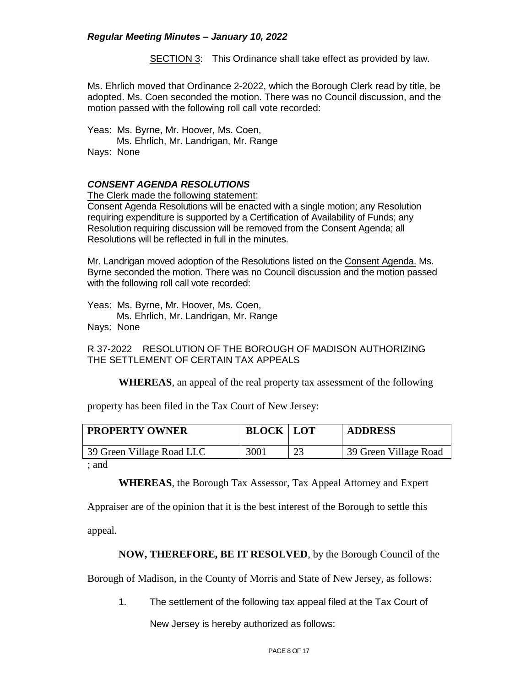SECTION 3: This Ordinance shall take effect as provided by law.

Ms. Ehrlich moved that Ordinance 2-2022, which the Borough Clerk read by title, be adopted. Ms. Coen seconded the motion. There was no Council discussion, and the motion passed with the following roll call vote recorded:

Yeas: Ms. Byrne, Mr. Hoover, Ms. Coen, Ms. Ehrlich, Mr. Landrigan, Mr. Range Nays: None

### *CONSENT AGENDA RESOLUTIONS*

The Clerk made the following statement:

Consent Agenda Resolutions will be enacted with a single motion; any Resolution requiring expenditure is supported by a Certification of Availability of Funds; any Resolution requiring discussion will be removed from the Consent Agenda; all Resolutions will be reflected in full in the minutes.

Mr. Landrigan moved adoption of the Resolutions listed on the Consent Agenda. Ms. Byrne seconded the motion. There was no Council discussion and the motion passed with the following roll call vote recorded:

Yeas: Ms. Byrne, Mr. Hoover, Ms. Coen,

 Ms. Ehrlich, Mr. Landrigan, Mr. Range Nays: None

R 37-2022 RESOLUTION OF THE BOROUGH OF MADISON AUTHORIZING THE SETTI EMENT OF CERTAIN TAX APPEALS

**WHEREAS**, an appeal of the real property tax assessment of the following

property has been filed in the Tax Court of New Jersey:

| <b>PROPERTY OWNER</b>     | <b>BLOCK   LOT</b> | <b>ADDRESS</b>        |
|---------------------------|--------------------|-----------------------|
| 39 Green Village Road LLC | 3001               | 39 Green Village Road |
| الممدمات                  |                    |                       |

; and

**WHEREAS**, the Borough Tax Assessor, Tax Appeal Attorney and Expert

Appraiser are of the opinion that it is the best interest of the Borough to settle this

appeal.

## **NOW, THEREFORE, BE IT RESOLVED**, by the Borough Council of the

Borough of Madison, in the County of Morris and State of New Jersey, as follows:

1. The settlement of the following tax appeal filed at the Tax Court of

New Jersey is hereby authorized as follows: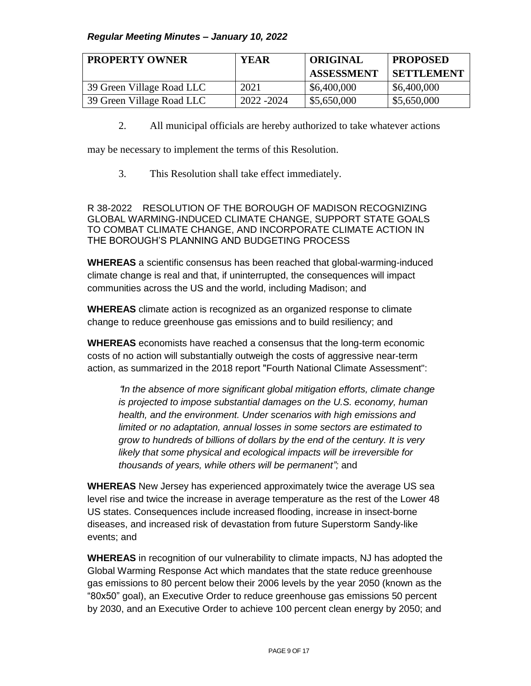| <b>PROPERTY OWNER</b>     | <b>YEAR</b> | <b>ORIGINAL</b>   | <b>PROPOSED</b>   |
|---------------------------|-------------|-------------------|-------------------|
|                           |             | <b>ASSESSMENT</b> | <b>SETTLEMENT</b> |
| 39 Green Village Road LLC | 2021        | \$6,400,000       | \$6,400,000       |
| 39 Green Village Road LLC | 2022 - 2024 | \$5,650,000       | \$5,650,000       |

2. All municipal officials are hereby authorized to take whatever actions

may be necessary to implement the terms of this Resolution.

3. This Resolution shall take effect immediately.

R 38-2022 RESOLUTION OF THE BOROUGH OF MADISON RECOGNIZING GLOBAL WARMING-INDUCED CLIMATE CHANGE, SUPPORT STATE GOALS TO COMBAT CLIMATE CHANGE, AND INCORPORATE CLIMATE ACTION IN THE BOROUGH'S PLANNING AND BUDGETING PROCESS

**WHEREAS** a scientific consensus has been reached that global-warming-induced climate change is real and that, if uninterrupted, the consequences will impact communities across the US and the world, including Madison; and

**WHEREAS** climate action is recognized as an organized response to climate change to reduce greenhouse gas emissions and to build resiliency; and

**WHEREAS** economists have reached a consensus that the long-term economic costs of no action will substantially outweigh the costs of aggressive near-term action, as summarized in the 2018 report "Fourth National Climate Assessment":

"*In the absence of more significant global mitigation efforts, climate change is projected to impose substantial damages on the U.S. economy, human health, and the environment. Under scenarios with high emissions and limited or no adaptation, annual losses in some sectors are estimated to grow to hundreds of billions of dollars by the end of the century. It is very likely that some physical and ecological impacts will be irreversible for thousands of years, while others will be permanent";* and

**WHEREAS** New Jersey has experienced approximately twice the average US sea level rise and twice the increase in average temperature as the rest of the Lower 48 US states. Consequences include increased flooding, increase in insect-borne diseases, and increased risk of devastation from future Superstorm Sandy-like events; and

**WHEREAS** in recognition of our vulnerability to climate impacts, NJ has adopted the Global Warming Response Act which mandates that the state reduce greenhouse gas emissions to 80 percent below their 2006 levels by the year 2050 (known as the "80x50" goal), an Executive Order to reduce greenhouse gas emissions 50 percent by 2030, and an Executive Order to achieve 100 percent clean energy by 2050; and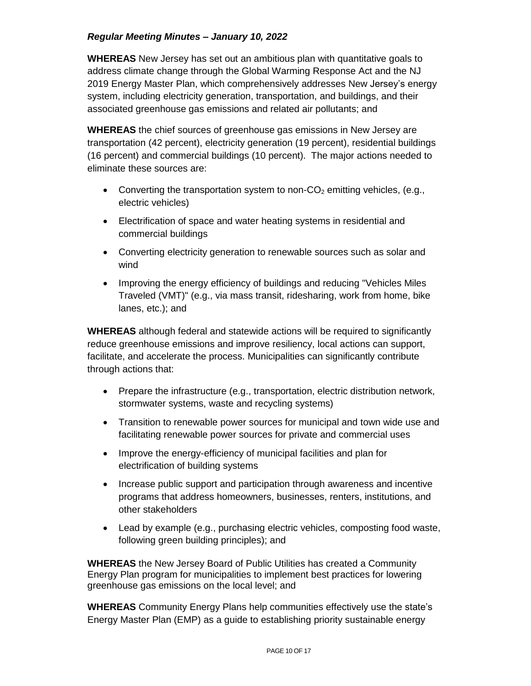**WHEREAS** New Jersey has set out an ambitious plan with quantitative goals to address climate change through the Global Warming Response Act and the NJ 2019 Energy Master Plan, which comprehensively addresses New Jersey's energy system, including electricity generation, transportation, and buildings, and their associated greenhouse gas emissions and related air pollutants; and

**WHEREAS** the chief sources of greenhouse gas emissions in New Jersey are transportation (42 percent), electricity generation (19 percent), residential buildings (16 percent) and commercial buildings (10 percent). The major actions needed to eliminate these sources are:

- Converting the transportation system to non- $CO<sub>2</sub>$  emitting vehicles, (e.g., electric vehicles)
- Electrification of space and water heating systems in residential and commercial buildings
- Converting electricity generation to renewable sources such as solar and wind
- Improving the energy efficiency of buildings and reducing "Vehicles Miles" Traveled (VMT)" (e.g., via mass transit, ridesharing, work from home, bike lanes, etc.); and

**WHEREAS** although federal and statewide actions will be required to significantly reduce greenhouse emissions and improve resiliency, local actions can support, facilitate, and accelerate the process. Municipalities can significantly contribute through actions that:

- Prepare the infrastructure (e.g., transportation, electric distribution network, stormwater systems, waste and recycling systems)
- Transition to renewable power sources for municipal and town wide use and facilitating renewable power sources for private and commercial uses
- Improve the energy-efficiency of municipal facilities and plan for electrification of building systems
- Increase public support and participation through awareness and incentive programs that address homeowners, businesses, renters, institutions, and other stakeholders
- Lead by example (e.g., purchasing electric vehicles, composting food waste, following green building principles); and

**WHEREAS** the New Jersey Board of Public Utilities has created a Community Energy Plan program for municipalities to implement best practices for lowering greenhouse gas emissions on the local level; and

**WHEREAS** Community Energy Plans help communities effectively use the state's Energy Master Plan (EMP) as a guide to establishing priority sustainable energy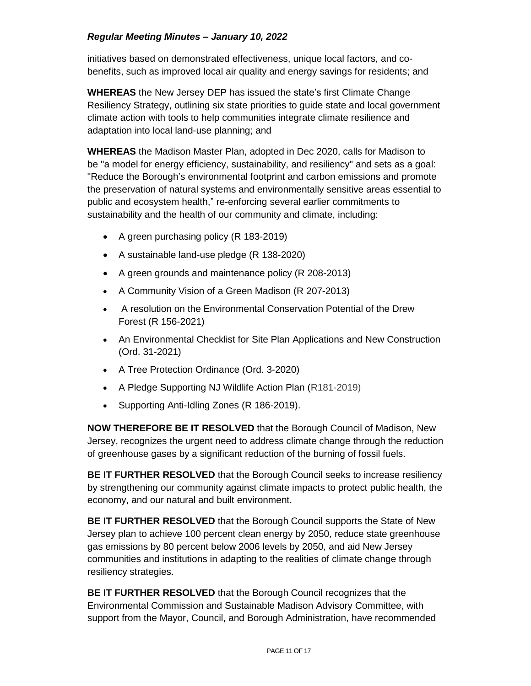initiatives based on demonstrated effectiveness, unique local factors, and cobenefits, such as improved local air quality and energy savings for residents; and

**WHEREAS** the New Jersey DEP has issued the state's first Climate Change Resiliency Strategy, outlining six state priorities to guide state and local government climate action with tools to help communities integrate climate resilience and adaptation into local land-use planning; and

**WHEREAS** the Madison Master Plan, adopted in Dec 2020, calls for Madison to be "a model for energy efficiency, sustainability, and resiliency" and sets as a goal: "Reduce the Borough's environmental footprint and carbon emissions and promote the preservation of natural systems and environmentally sensitive areas essential to public and ecosystem health," re-enforcing several earlier commitments to sustainability and the health of our community and climate, including:

- A green purchasing policy (R 183-2019)
- A sustainable land-use pledge (R 138-2020)
- A green grounds and maintenance policy (R 208-2013)
- A Community Vision of a Green Madison (R 207-2013)
- A resolution on the Environmental Conservation Potential of the Drew Forest (R 156-2021)
- An Environmental Checklist for Site Plan Applications and New Construction (Ord. 31-2021)
- A Tree Protection Ordinance (Ord. 3-2020)
- A Pledge Supporting NJ Wildlife Action Plan (R181-2019)
- Supporting Anti-Idling Zones (R 186-2019).

**NOW THEREFORE BE IT RESOLVED** that the Borough Council of Madison, New Jersey, recognizes the urgent need to address climate change through the reduction of greenhouse gases by a significant reduction of the burning of fossil fuels.

**BE IT FURTHER RESOLVED** that the Borough Council seeks to increase resiliency by strengthening our community against climate impacts to protect public health, the economy, and our natural and built environment.

**BE IT FURTHER RESOLVED** that the Borough Council supports the State of New Jersey plan to achieve 100 percent clean energy by 2050, reduce state greenhouse gas emissions by 80 percent below 2006 levels by 2050, and aid New Jersey communities and institutions in adapting to the realities of climate change through resiliency strategies.

**BE IT FURTHER RESOLVED** that the Borough Council recognizes that the Environmental Commission and Sustainable Madison Advisory Committee, with support from the Mayor, Council, and Borough Administration, have recommended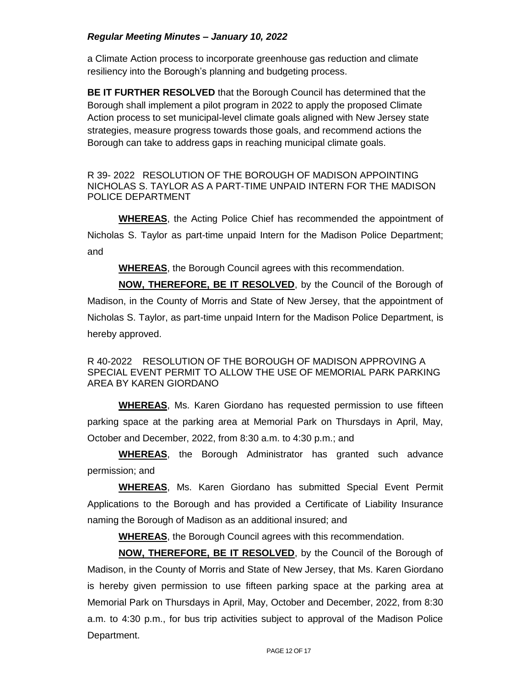a Climate Action process to incorporate greenhouse gas reduction and climate resiliency into the Borough's planning and budgeting process.

**BE IT FURTHER RESOLVED** that the Borough Council has determined that the Borough shall implement a pilot program in 2022 to apply the proposed Climate Action process to set municipal-level climate goals aligned with New Jersey state strategies, measure progress towards those goals, and recommend actions the Borough can take to address gaps in reaching municipal climate goals.

R 39- 2022 RESOLUTION OF THE BOROUGH OF MADISON APPOINTING NICHOLAS S. TAYLOR AS A PART-TIME UNPAID INTERN FOR THE MADISON POLICE DEPARTMENT

**WHEREAS**, the Acting Police Chief has recommended the appointment of Nicholas S. Taylor as part-time unpaid Intern for the Madison Police Department; and

**WHEREAS**, the Borough Council agrees with this recommendation.

**NOW, THEREFORE, BE IT RESOLVED**, by the Council of the Borough of Madison, in the County of Morris and State of New Jersey, that the appointment of Nicholas S. Taylor, as part-time unpaid Intern for the Madison Police Department, is hereby approved.

R 40-2022 RESOLUTION OF THE BOROUGH OF MADISON APPROVING A SPECIAL EVENT PERMIT TO ALLOW THE USE OF MEMORIAL PARK PARKING AREA BY KAREN GIORDANO

**WHEREAS**, Ms. Karen Giordano has requested permission to use fifteen parking space at the parking area at Memorial Park on Thursdays in April, May, October and December, 2022, from 8:30 a.m. to 4:30 p.m.; and

**WHEREAS**, the Borough Administrator has granted such advance permission; and

**WHEREAS**, Ms. Karen Giordano has submitted Special Event Permit Applications to the Borough and has provided a Certificate of Liability Insurance naming the Borough of Madison as an additional insured; and

**WHEREAS**, the Borough Council agrees with this recommendation.

**NOW, THEREFORE, BE IT RESOLVED**, by the Council of the Borough of Madison, in the County of Morris and State of New Jersey, that Ms. Karen Giordano is hereby given permission to use fifteen parking space at the parking area at Memorial Park on Thursdays in April, May, October and December, 2022, from 8:30 a.m. to 4:30 p.m., for bus trip activities subject to approval of the Madison Police Department.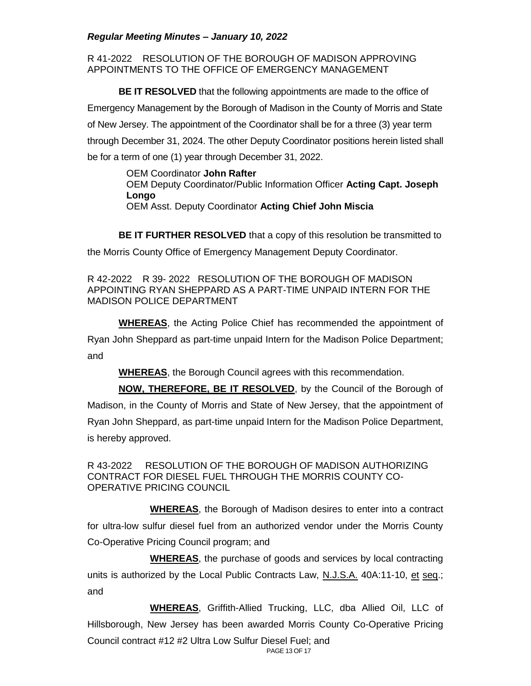R 41-2022 RESOLUTION OF THE BOROUGH OF MADISON APPROVING APPOINTMENTS TO THE OFFICE OF EMERGENCY MANAGEMENT

**BE IT RESOLVED** that the following appointments are made to the office of Emergency Management by the Borough of Madison in the County of Morris and State of New Jersey. The appointment of the Coordinator shall be for a three (3) year term through December 31, 2024. The other Deputy Coordinator positions herein listed shall be for a term of one (1) year through December 31, 2022.

> OEM Coordinator **John Rafter** OEM Deputy Coordinator/Public Information Officer **Acting Capt. Joseph Longo** OEM Asst. Deputy Coordinator **Acting Chief John Miscia**

**BE IT FURTHER RESOLVED** that a copy of this resolution be transmitted to the Morris County Office of Emergency Management Deputy Coordinator.

R 42-2022 R 39- 2022 RESOLUTION OF THE BOROUGH OF MADISON APPOINTING RYAN SHEPPARD AS A PART-TIME UNPAID INTERN FOR THE MADISON POLICE DEPARTMENT

**WHEREAS**, the Acting Police Chief has recommended the appointment of Ryan John Sheppard as part-time unpaid Intern for the Madison Police Department; and

**WHEREAS**, the Borough Council agrees with this recommendation.

**NOW, THEREFORE, BE IT RESOLVED**, by the Council of the Borough of Madison, in the County of Morris and State of New Jersey, that the appointment of Ryan John Sheppard, as part-time unpaid Intern for the Madison Police Department, is hereby approved.

R 43-2022 RESOLUTION OF THE BOROUGH OF MADISON AUTHORIZING CONTRACT FOR DIESEL FUEL THROUGH THE MORRIS COUNTY CO-OPERATIVE PRICING COUNCIL

**WHEREAS**, the Borough of Madison desires to enter into a contract for ultra-low sulfur diesel fuel from an authorized vendor under the Morris County Co-Operative Pricing Council program; and

**WHEREAS**, the purchase of goods and services by local contracting units is authorized by the Local Public Contracts Law, N.J.S.A. 40A:11-10, et seq.; and

**WHEREAS**, Griffith-Allied Trucking, LLC, dba Allied Oil, LLC of Hillsborough, New Jersey has been awarded Morris County Co-Operative Pricing Council contract #12 #2 Ultra Low Sulfur Diesel Fuel; and

PAGE 13 OF 17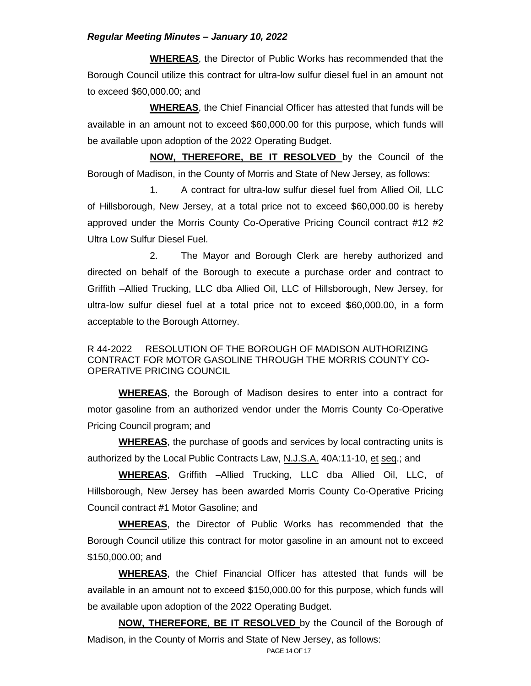**WHEREAS**, the Director of Public Works has recommended that the Borough Council utilize this contract for ultra-low sulfur diesel fuel in an amount not to exceed \$60,000.00; and

**WHEREAS**, the Chief Financial Officer has attested that funds will be available in an amount not to exceed \$60,000.00 for this purpose, which funds will be available upon adoption of the 2022 Operating Budget.

**NOW, THEREFORE, BE IT RESOLVED** by the Council of the Borough of Madison, in the County of Morris and State of New Jersey, as follows:

1. A contract for ultra-low sulfur diesel fuel from Allied Oil, LLC of Hillsborough, New Jersey, at a total price not to exceed \$60,000.00 is hereby approved under the Morris County Co-Operative Pricing Council contract #12 #2 Ultra Low Sulfur Diesel Fuel.

2. The Mayor and Borough Clerk are hereby authorized and directed on behalf of the Borough to execute a purchase order and contract to Griffith –Allied Trucking, LLC dba Allied Oil, LLC of Hillsborough, New Jersey, for ultra-low sulfur diesel fuel at a total price not to exceed \$60,000.00, in a form acceptable to the Borough Attorney.

## R 44-2022 RESOLUTION OF THE BOROUGH OF MADISON AUTHORIZING CONTRACT FOR MOTOR GASOLINE THROUGH THE MORRIS COUNTY CO-OPERATIVE PRICING COUNCIL

**WHEREAS**, the Borough of Madison desires to enter into a contract for motor gasoline from an authorized vendor under the Morris County Co-Operative Pricing Council program; and

**WHEREAS**, the purchase of goods and services by local contracting units is authorized by the Local Public Contracts Law, N.J.S.A. 40A:11-10, et seq.; and

**WHEREAS**, Griffith –Allied Trucking, LLC dba Allied Oil, LLC, of Hillsborough, New Jersey has been awarded Morris County Co-Operative Pricing Council contract #1 Motor Gasoline; and

**WHEREAS**, the Director of Public Works has recommended that the Borough Council utilize this contract for motor gasoline in an amount not to exceed \$150,000.00; and

**WHEREAS**, the Chief Financial Officer has attested that funds will be available in an amount not to exceed \$150,000.00 for this purpose, which funds will be available upon adoption of the 2022 Operating Budget.

**NOW, THEREFORE, BE IT RESOLVED** by the Council of the Borough of Madison, in the County of Morris and State of New Jersey, as follows: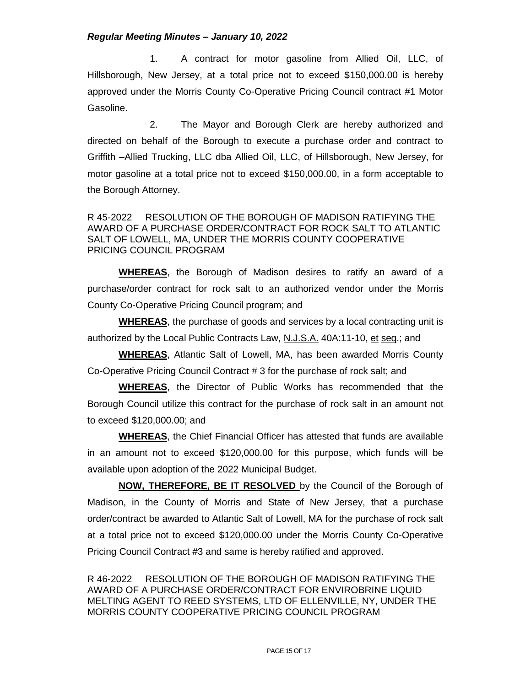1. A contract for motor gasoline from Allied Oil, LLC, of Hillsborough, New Jersey, at a total price not to exceed \$150,000.00 is hereby approved under the Morris County Co-Operative Pricing Council contract #1 Motor Gasoline.

2. The Mayor and Borough Clerk are hereby authorized and directed on behalf of the Borough to execute a purchase order and contract to Griffith –Allied Trucking, LLC dba Allied Oil, LLC, of Hillsborough, New Jersey, for motor gasoline at a total price not to exceed \$150,000.00, in a form acceptable to the Borough Attorney.

### R 45-2022 RESOLUTION OF THE BOROUGH OF MADISON RATIFYING THE AWARD OF A PURCHASE ORDER/CONTRACT FOR ROCK SALT TO ATLANTIC SALT OF LOWELL, MA, UNDER THE MORRIS COUNTY COOPERATIVE PRICING COUNCIL PROGRAM

**WHEREAS**, the Borough of Madison desires to ratify an award of a purchase/order contract for rock salt to an authorized vendor under the Morris County Co-Operative Pricing Council program; and

**WHEREAS**, the purchase of goods and services by a local contracting unit is authorized by the Local Public Contracts Law, N.J.S.A. 40A:11-10, et seq.; and

**WHEREAS**, Atlantic Salt of Lowell, MA, has been awarded Morris County Co-Operative Pricing Council Contract # 3 for the purchase of rock salt; and

**WHEREAS**, the Director of Public Works has recommended that the Borough Council utilize this contract for the purchase of rock salt in an amount not to exceed \$120,000.00; and

**WHEREAS**, the Chief Financial Officer has attested that funds are available in an amount not to exceed \$120,000.00 for this purpose, which funds will be available upon adoption of the 2022 Municipal Budget.

**NOW, THEREFORE, BE IT RESOLVED** by the Council of the Borough of Madison, in the County of Morris and State of New Jersey, that a purchase order/contract be awarded to Atlantic Salt of Lowell, MA for the purchase of rock salt at a total price not to exceed \$120,000.00 under the Morris County Co-Operative Pricing Council Contract #3 and same is hereby ratified and approved.

R 46-2022 RESOLUTION OF THE BOROUGH OF MADISON RATIFYING THE AWARD OF A PURCHASE ORDER/CONTRACT FOR ENVIROBRINE LIQUID MELTING AGENT TO REED SYSTEMS, LTD OF ELLENVILLE, NY, UNDER THE MORRIS COUNTY COOPERATIVE PRICING COUNCIL PROGRAM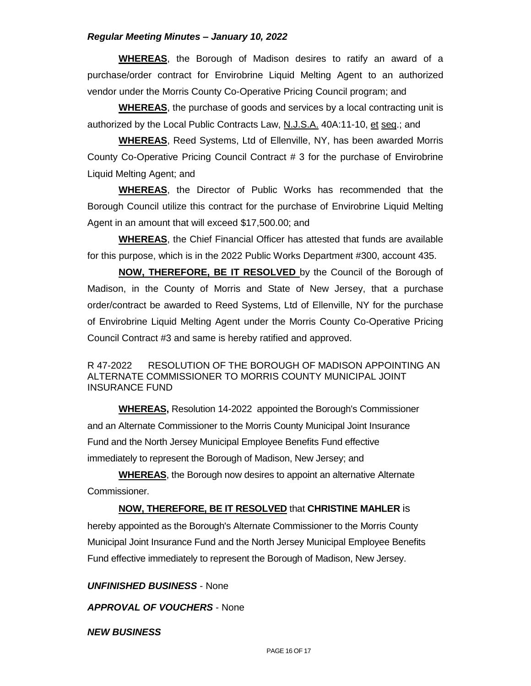**WHEREAS**, the Borough of Madison desires to ratify an award of a purchase/order contract for Envirobrine Liquid Melting Agent to an authorized vendor under the Morris County Co-Operative Pricing Council program; and

**WHEREAS**, the purchase of goods and services by a local contracting unit is authorized by the Local Public Contracts Law, N.J.S.A. 40A:11-10, et seq.; and

**WHEREAS**, Reed Systems, Ltd of Ellenville, NY, has been awarded Morris County Co-Operative Pricing Council Contract # 3 for the purchase of Envirobrine Liquid Melting Agent; and

**WHEREAS**, the Director of Public Works has recommended that the Borough Council utilize this contract for the purchase of Envirobrine Liquid Melting Agent in an amount that will exceed \$17,500.00; and

**WHEREAS**, the Chief Financial Officer has attested that funds are available for this purpose, which is in the 2022 Public Works Department #300, account 435.

**NOW, THEREFORE, BE IT RESOLVED** by the Council of the Borough of Madison, in the County of Morris and State of New Jersey, that a purchase order/contract be awarded to Reed Systems, Ltd of Ellenville, NY for the purchase of Envirobrine Liquid Melting Agent under the Morris County Co-Operative Pricing Council Contract #3 and same is hereby ratified and approved.

### R 47-2022 RESOLUTION OF THE BOROUGH OF MADISON APPOINTING AN ALTERNATE COMMISSIONER TO MORRIS COUNTY MUNICIPAL JOINT INSURANCE FUND

**WHEREAS,** Resolution 14-2022 appointed the Borough's Commissioner and an Alternate Commissioner to the Morris County Municipal Joint Insurance Fund and the North Jersey Municipal Employee Benefits Fund effective immediately to represent the Borough of Madison, New Jersey; and

**WHEREAS**, the Borough now desires to appoint an alternative Alternate Commissioner.

**NOW, THEREFORE, BE IT RESOLVED** that **CHRISTINE MAHLER** is

hereby appointed as the Borough's Alternate Commissioner to the Morris County Municipal Joint Insurance Fund and the North Jersey Municipal Employee Benefits Fund effective immediately to represent the Borough of Madison, New Jersey.

*UNFINISHED BUSINESS* - None

*APPROVAL OF VOUCHERS* - None

*NEW BUSINESS*